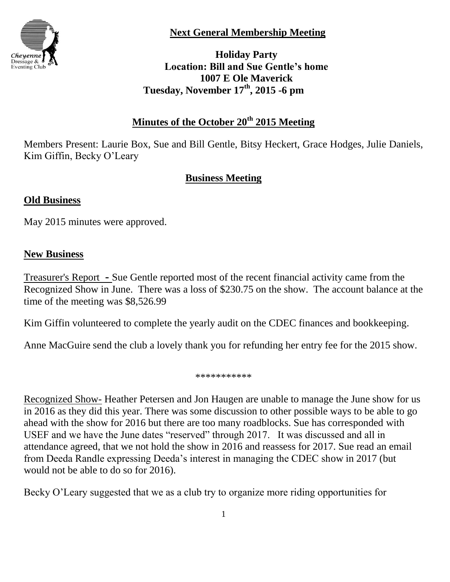

**Next General Membership Meeting**

**Holiday Party Location: Bill and Sue Gentle's home 1007 E Ole Maverick Tuesday, November 17th, 2015 -6 pm**

## **Minutes of the October 20th 2015 Meeting**

Members Present: Laurie Box, Sue and Bill Gentle, Bitsy Heckert, Grace Hodges, Julie Daniels, Kim Giffin, Becky O'Leary

# **Business Meeting**

### **Old Business**

May 2015 minutes were approved.

### **New Business**

Treasurer's Report **-** Sue Gentle reported most of the recent financial activity came from the Recognized Show in June. There was a loss of \$230.75 on the show. The account balance at the time of the meeting was \$8,526.99

Kim Giffin volunteered to complete the yearly audit on the CDEC finances and bookkeeping.

Anne MacGuire send the club a lovely thank you for refunding her entry fee for the 2015 show.

\*\*\*\*\*\*\*\*\*\*\*

Recognized Show- Heather Petersen and Jon Haugen are unable to manage the June show for us in 2016 as they did this year. There was some discussion to other possible ways to be able to go ahead with the show for 2016 but there are too many roadblocks. Sue has corresponded with USEF and we have the June dates "reserved" through 2017. It was discussed and all in attendance agreed, that we not hold the show in 2016 and reassess for 2017. Sue read an email from Deeda Randle expressing Deeda's interest in managing the CDEC show in 2017 (but would not be able to do so for 2016).

Becky O'Leary suggested that we as a club try to organize more riding opportunities for